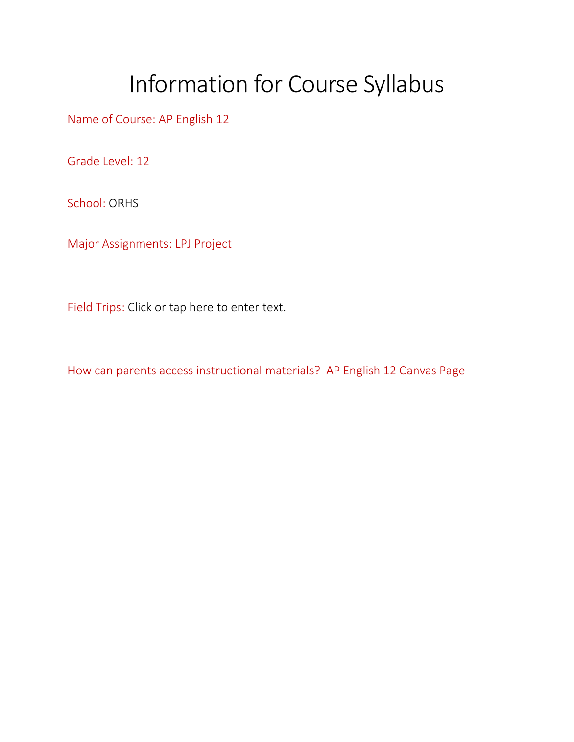## Information for Course Syllabus

Name of Course: AP English 12

Grade Level: 12

School: ORHS

Major Assignments: LPJ Project

Field Trips: Click or tap here to enter text.

How can parents access instructional materials? AP English 12 Canvas Page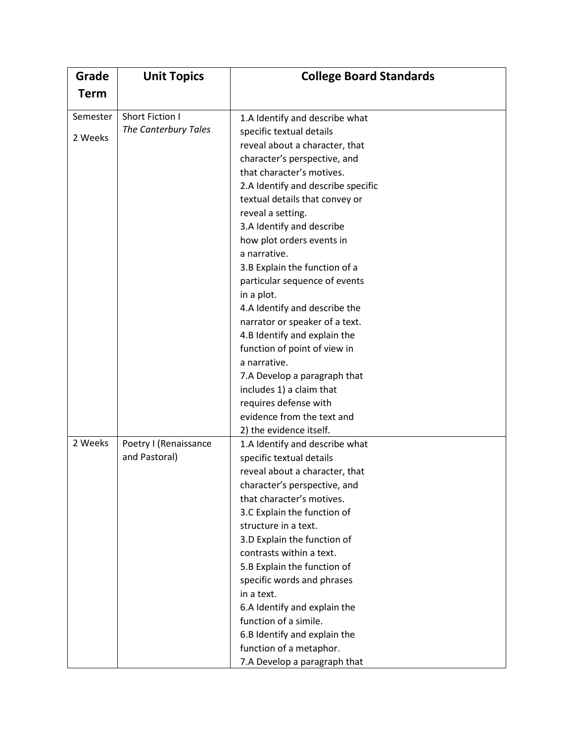| Grade               | <b>Unit Topics</b>                      | <b>College Board Standards</b>                                                                                                                                                                                                                                                                                                                                                                                                                                                                                                                                                                      |
|---------------------|-----------------------------------------|-----------------------------------------------------------------------------------------------------------------------------------------------------------------------------------------------------------------------------------------------------------------------------------------------------------------------------------------------------------------------------------------------------------------------------------------------------------------------------------------------------------------------------------------------------------------------------------------------------|
| <b>Term</b>         |                                         |                                                                                                                                                                                                                                                                                                                                                                                                                                                                                                                                                                                                     |
| Semester<br>2 Weeks | Short Fiction I<br>The Canterbury Tales | 1.A Identify and describe what<br>specific textual details<br>reveal about a character, that<br>character's perspective, and<br>that character's motives.<br>2.A Identify and describe specific<br>textual details that convey or<br>reveal a setting.<br>3.A Identify and describe<br>how plot orders events in<br>a narrative.<br>3.B Explain the function of a<br>particular sequence of events<br>in a plot.<br>4.A Identify and describe the<br>narrator or speaker of a text.<br>4.B Identify and explain the<br>function of point of view in<br>a narrative.<br>7.A Develop a paragraph that |
|                     |                                         | includes 1) a claim that<br>requires defense with<br>evidence from the text and<br>2) the evidence itself.                                                                                                                                                                                                                                                                                                                                                                                                                                                                                          |
| 2 Weeks             | Poetry I (Renaissance<br>and Pastoral)  | 1.A Identify and describe what<br>specific textual details<br>reveal about a character, that<br>character's perspective, and<br>that character's motives.<br>3.C Explain the function of<br>structure in a text.<br>3.D Explain the function of<br>contrasts within a text.<br>5.B Explain the function of<br>specific words and phrases<br>in a text.<br>6.A Identify and explain the<br>function of a simile.<br>6.B Identify and explain the<br>function of a metaphor.<br>7.A Develop a paragraph that                                                                                          |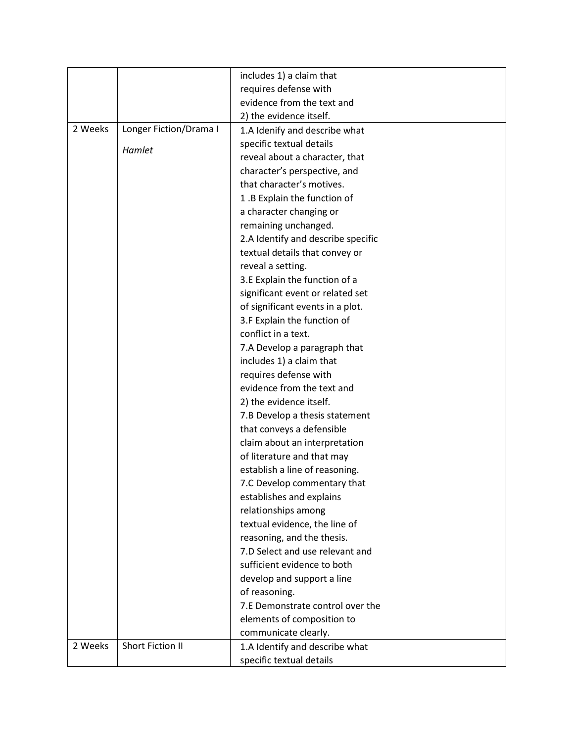|         |                        | includes 1) a claim that           |
|---------|------------------------|------------------------------------|
|         |                        | requires defense with              |
|         |                        | evidence from the text and         |
|         |                        | 2) the evidence itself.            |
| 2 Weeks | Longer Fiction/Drama I | 1.A Idenify and describe what      |
|         |                        | specific textual details           |
|         | Hamlet                 | reveal about a character, that     |
|         |                        | character's perspective, and       |
|         |                        | that character's motives.          |
|         |                        | 1.B Explain the function of        |
|         |                        | a character changing or            |
|         |                        | remaining unchanged.               |
|         |                        | 2.A Identify and describe specific |
|         |                        | textual details that convey or     |
|         |                        | reveal a setting.                  |
|         |                        | 3.E Explain the function of a      |
|         |                        | significant event or related set   |
|         |                        | of significant events in a plot.   |
|         |                        | 3.F Explain the function of        |
|         |                        | conflict in a text.                |
|         |                        | 7.A Develop a paragraph that       |
|         |                        | includes 1) a claim that           |
|         |                        | requires defense with              |
|         |                        | evidence from the text and         |
|         |                        | 2) the evidence itself.            |
|         |                        | 7.B Develop a thesis statement     |
|         |                        | that conveys a defensible          |
|         |                        | claim about an interpretation      |
|         |                        | of literature and that may         |
|         |                        | establish a line of reasoning.     |
|         |                        | 7.C Develop commentary that        |
|         |                        | establishes and explains           |
|         |                        | relationships among                |
|         |                        | textual evidence, the line of      |
|         |                        | reasoning, and the thesis.         |
|         |                        | 7.D Select and use relevant and    |
|         |                        | sufficient evidence to both        |
|         |                        | develop and support a line         |
|         |                        | of reasoning.                      |
|         |                        | 7.E Demonstrate control over the   |
|         |                        | elements of composition to         |
|         |                        | communicate clearly.               |
| 2 Weeks | Short Fiction II       | 1.A Identify and describe what     |
|         |                        | specific textual details           |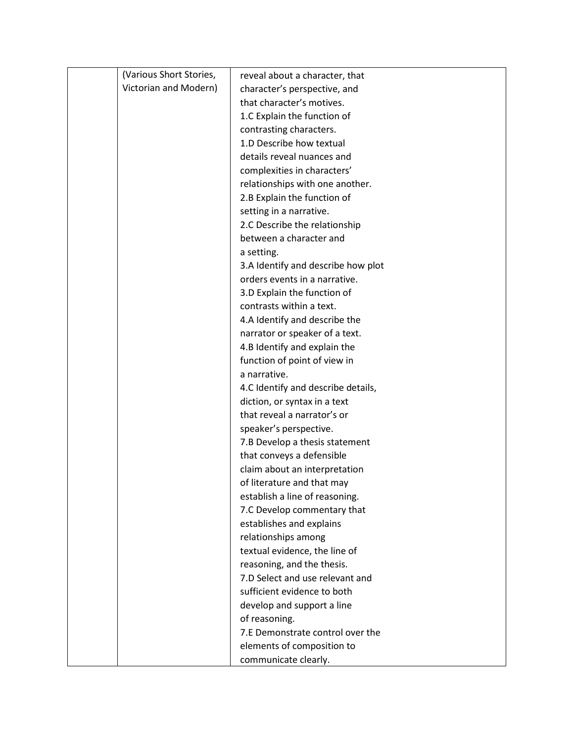| (Various Short Stories, | reveal about a character, that     |
|-------------------------|------------------------------------|
| Victorian and Modern)   | character's perspective, and       |
|                         | that character's motives.          |
|                         | 1.C Explain the function of        |
|                         | contrasting characters.            |
|                         | 1.D Describe how textual           |
|                         | details reveal nuances and         |
|                         | complexities in characters'        |
|                         | relationships with one another.    |
|                         | 2.B Explain the function of        |
|                         | setting in a narrative.            |
|                         | 2.C Describe the relationship      |
|                         | between a character and            |
|                         | a setting.                         |
|                         | 3.A Identify and describe how plot |
|                         | orders events in a narrative.      |
|                         | 3.D Explain the function of        |
|                         | contrasts within a text.           |
|                         | 4.A Identify and describe the      |
|                         | narrator or speaker of a text.     |
|                         | 4.B Identify and explain the       |
|                         | function of point of view in       |
|                         | a narrative.                       |
|                         | 4.C Identify and describe details, |
|                         | diction, or syntax in a text       |
|                         | that reveal a narrator's or        |
|                         | speaker's perspective.             |
|                         | 7.B Develop a thesis statement     |
|                         | that conveys a defensible          |
|                         | claim about an interpretation      |
|                         | of literature and that may         |
|                         | establish a line of reasoning.     |
|                         | 7.C Develop commentary that        |
|                         | establishes and explains           |
|                         | relationships among                |
|                         | textual evidence, the line of      |
|                         | reasoning, and the thesis.         |
|                         | 7.D Select and use relevant and    |
|                         | sufficient evidence to both        |
|                         | develop and support a line         |
|                         | of reasoning.                      |
|                         | 7.E Demonstrate control over the   |
|                         | elements of composition to         |
|                         | communicate clearly.               |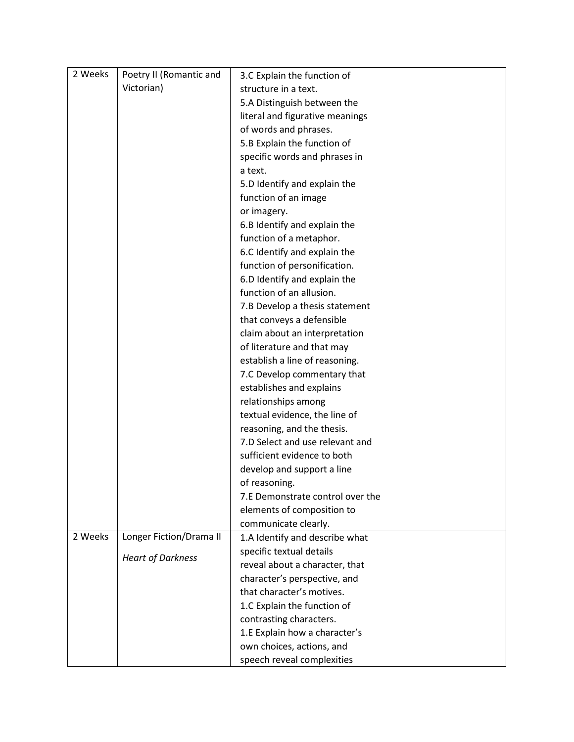| 2 Weeks | Poetry II (Romantic and  | 3.C Explain the function of      |
|---------|--------------------------|----------------------------------|
|         | Victorian)               | structure in a text.             |
|         |                          | 5.A Distinguish between the      |
|         |                          | literal and figurative meanings  |
|         |                          | of words and phrases.            |
|         |                          | 5.B Explain the function of      |
|         |                          | specific words and phrases in    |
|         |                          | a text.                          |
|         |                          | 5.D Identify and explain the     |
|         |                          | function of an image             |
|         |                          | or imagery.                      |
|         |                          | 6.B Identify and explain the     |
|         |                          | function of a metaphor.          |
|         |                          | 6.C Identify and explain the     |
|         |                          | function of personification.     |
|         |                          | 6.D Identify and explain the     |
|         |                          | function of an allusion.         |
|         |                          | 7.B Develop a thesis statement   |
|         |                          | that conveys a defensible        |
|         |                          | claim about an interpretation    |
|         |                          | of literature and that may       |
|         |                          | establish a line of reasoning.   |
|         |                          | 7.C Develop commentary that      |
|         |                          | establishes and explains         |
|         |                          | relationships among              |
|         |                          | textual evidence, the line of    |
|         |                          | reasoning, and the thesis.       |
|         |                          | 7.D Select and use relevant and  |
|         |                          | sufficient evidence to both      |
|         |                          | develop and support a line       |
|         |                          | of reasoning.                    |
|         |                          | 7.E Demonstrate control over the |
|         |                          | elements of composition to       |
|         |                          | communicate clearly.             |
| 2 Weeks | Longer Fiction/Drama II  | 1.A Identify and describe what   |
|         | <b>Heart of Darkness</b> | specific textual details         |
|         |                          | reveal about a character, that   |
|         |                          | character's perspective, and     |
|         |                          | that character's motives.        |
|         |                          | 1.C Explain the function of      |
|         |                          | contrasting characters.          |
|         |                          | 1.E Explain how a character's    |
|         |                          | own choices, actions, and        |
|         |                          | speech reveal complexities       |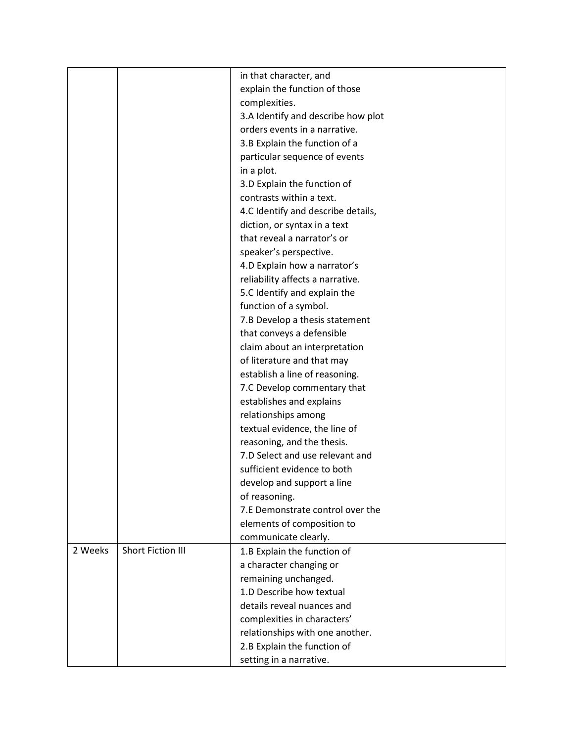|         |                   | in that character, and             |
|---------|-------------------|------------------------------------|
|         |                   | explain the function of those      |
|         |                   | complexities.                      |
|         |                   | 3.A Identify and describe how plot |
|         |                   | orders events in a narrative.      |
|         |                   | 3.B Explain the function of a      |
|         |                   | particular sequence of events      |
|         |                   | in a plot.                         |
|         |                   | 3.D Explain the function of        |
|         |                   | contrasts within a text.           |
|         |                   | 4.C Identify and describe details, |
|         |                   | diction, or syntax in a text       |
|         |                   | that reveal a narrator's or        |
|         |                   | speaker's perspective.             |
|         |                   | 4.D Explain how a narrator's       |
|         |                   | reliability affects a narrative.   |
|         |                   | 5.C Identify and explain the       |
|         |                   | function of a symbol.              |
|         |                   | 7.B Develop a thesis statement     |
|         |                   | that conveys a defensible          |
|         |                   | claim about an interpretation      |
|         |                   | of literature and that may         |
|         |                   | establish a line of reasoning.     |
|         |                   | 7.C Develop commentary that        |
|         |                   | establishes and explains           |
|         |                   | relationships among                |
|         |                   | textual evidence, the line of      |
|         |                   | reasoning, and the thesis.         |
|         |                   | 7.D Select and use relevant and    |
|         |                   | sufficient evidence to both        |
|         |                   | develop and support a line         |
|         |                   | of reasoning.                      |
|         |                   | 7.E Demonstrate control over the   |
|         |                   | elements of composition to         |
|         |                   | communicate clearly.               |
| 2 Weeks | Short Fiction III | 1.B Explain the function of        |
|         |                   | a character changing or            |
|         |                   | remaining unchanged.               |
|         |                   | 1.D Describe how textual           |
|         |                   | details reveal nuances and         |
|         |                   | complexities in characters'        |
|         |                   | relationships with one another.    |
|         |                   | 2.B Explain the function of        |
|         |                   | setting in a narrative.            |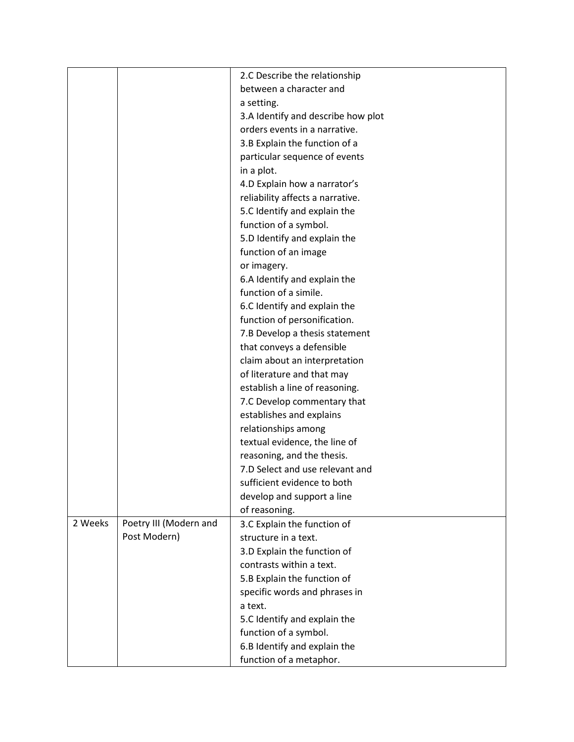|         |                        | 2.C Describe the relationship      |
|---------|------------------------|------------------------------------|
|         |                        | between a character and            |
|         |                        | a setting.                         |
|         |                        | 3.A Identify and describe how plot |
|         |                        | orders events in a narrative.      |
|         |                        | 3.B Explain the function of a      |
|         |                        | particular sequence of events      |
|         |                        | in a plot.                         |
|         |                        |                                    |
|         |                        | 4.D Explain how a narrator's       |
|         |                        | reliability affects a narrative.   |
|         |                        | 5.C Identify and explain the       |
|         |                        | function of a symbol.              |
|         |                        | 5.D Identify and explain the       |
|         |                        | function of an image               |
|         |                        | or imagery.                        |
|         |                        | 6.A Identify and explain the       |
|         |                        | function of a simile.              |
|         |                        | 6.C Identify and explain the       |
|         |                        | function of personification.       |
|         |                        | 7.B Develop a thesis statement     |
|         |                        | that conveys a defensible          |
|         |                        | claim about an interpretation      |
|         |                        | of literature and that may         |
|         |                        | establish a line of reasoning.     |
|         |                        | 7.C Develop commentary that        |
|         |                        | establishes and explains           |
|         |                        | relationships among                |
|         |                        | textual evidence, the line of      |
|         |                        | reasoning, and the thesis.         |
|         |                        | 7.D Select and use relevant and    |
|         |                        | sufficient evidence to both        |
|         |                        | develop and support a line         |
|         |                        | of reasoning.                      |
| 2 Weeks | Poetry III (Modern and | 3.C Explain the function of        |
|         | Post Modern)           | structure in a text.               |
|         |                        | 3.D Explain the function of        |
|         |                        | contrasts within a text.           |
|         |                        | 5.B Explain the function of        |
|         |                        | specific words and phrases in      |
|         |                        | a text.                            |
|         |                        | 5.C Identify and explain the       |
|         |                        | function of a symbol.              |
|         |                        | 6.B Identify and explain the       |
|         |                        | function of a metaphor.            |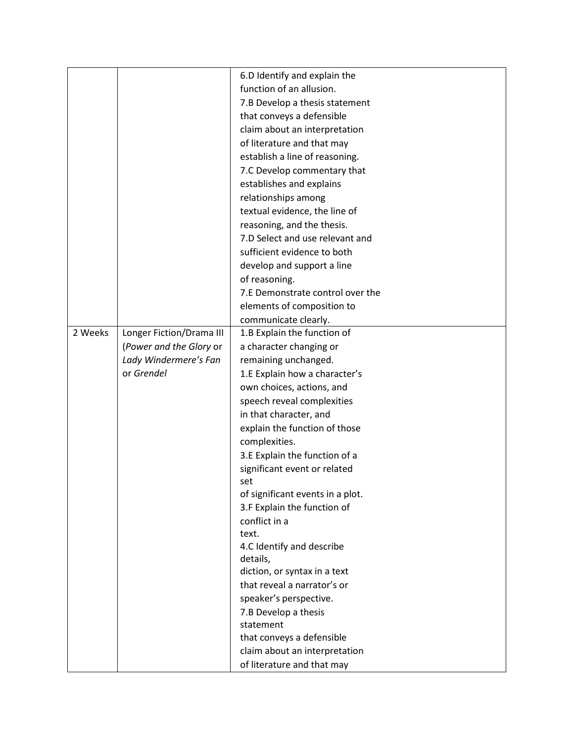|         |                          | 6.D Identify and explain the     |
|---------|--------------------------|----------------------------------|
|         |                          | function of an allusion.         |
|         |                          | 7.B Develop a thesis statement   |
|         |                          | that conveys a defensible        |
|         |                          | claim about an interpretation    |
|         |                          | of literature and that may       |
|         |                          | establish a line of reasoning.   |
|         |                          | 7.C Develop commentary that      |
|         |                          | establishes and explains         |
|         |                          | relationships among              |
|         |                          | textual evidence, the line of    |
|         |                          | reasoning, and the thesis.       |
|         |                          | 7.D Select and use relevant and  |
|         |                          | sufficient evidence to both      |
|         |                          | develop and support a line       |
|         |                          |                                  |
|         |                          | of reasoning.                    |
|         |                          | 7.E Demonstrate control over the |
|         |                          | elements of composition to       |
|         |                          | communicate clearly.             |
| 2 Weeks | Longer Fiction/Drama III | 1.B Explain the function of      |
|         | (Power and the Glory or  | a character changing or          |
|         | Lady Windermere's Fan    | remaining unchanged.             |
|         | or Grendel               | 1.E Explain how a character's    |
|         |                          | own choices, actions, and        |
|         |                          | speech reveal complexities       |
|         |                          | in that character, and           |
|         |                          | explain the function of those    |
|         |                          | complexities.                    |
|         |                          | 3.E Explain the function of a    |
|         |                          | significant event or related     |
|         |                          | set                              |
|         |                          | of significant events in a plot. |
|         |                          | 3.F Explain the function of      |
|         |                          | conflict in a                    |
|         |                          | text.                            |
|         |                          | 4.C Identify and describe        |
|         |                          | details,                         |
|         |                          | diction, or syntax in a text     |
|         |                          | that reveal a narrator's or      |
|         |                          | speaker's perspective.           |
|         |                          | 7.B Develop a thesis             |
|         |                          | statement                        |
|         |                          | that conveys a defensible        |
|         |                          | claim about an interpretation    |
|         |                          | of literature and that may       |